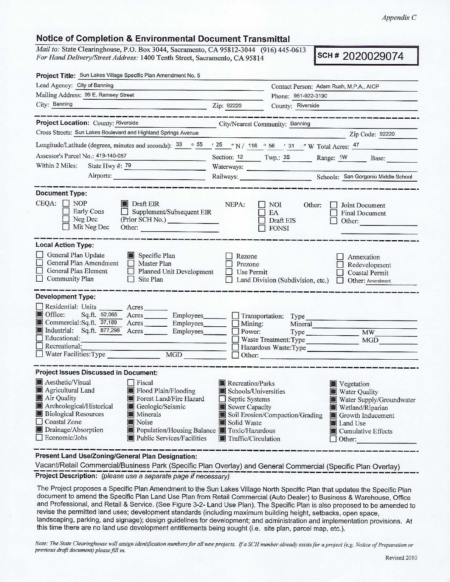*AppendixC* 

## **Notice of Completion** & **Environmental Document Transmittal**

Mail *to:* State Clearinghouse, P.O. Box 3044, Sacramento, CA 95812-3044 (916) 445-0613 **For Hand Delivery/Street Address: 1400 Tenth Street, Sacramento, CA 95814 SCH # 2020029074** 

| Project Title: Sun Lakes Village Specific Plan Amendment No. 5                                                                                                                                                                                                                                                                                                                             |                                                                                                                           |                                                                                                                                                                                        |  |
|--------------------------------------------------------------------------------------------------------------------------------------------------------------------------------------------------------------------------------------------------------------------------------------------------------------------------------------------------------------------------------------------|---------------------------------------------------------------------------------------------------------------------------|----------------------------------------------------------------------------------------------------------------------------------------------------------------------------------------|--|
| Lead Agency: City of Banning                                                                                                                                                                                                                                                                                                                                                               |                                                                                                                           | Contact Person: Adam Rush, M.P.A., AICP                                                                                                                                                |  |
| Mailing Address: 99 E. Ramsey Street                                                                                                                                                                                                                                                                                                                                                       |                                                                                                                           | Phone: 951-922-3190                                                                                                                                                                    |  |
| City: Banning<br><u> 1950 - Jan James Barbara, ma</u>                                                                                                                                                                                                                                                                                                                                      | Zip: 92220                                                                                                                | County: Riverside                                                                                                                                                                      |  |
|                                                                                                                                                                                                                                                                                                                                                                                            |                                                                                                                           |                                                                                                                                                                                        |  |
| Project Location: County: Riverside<br><b>City/Nearest Community: Banning</b>                                                                                                                                                                                                                                                                                                              |                                                                                                                           |                                                                                                                                                                                        |  |
| Cross Streets: Sun Lakes Boulevard and Highland Springs Avenue                                                                                                                                                                                                                                                                                                                             |                                                                                                                           | Zip Code: 92220                                                                                                                                                                        |  |
| Longitude/Latitude (degrees, minutes and seconds): $\frac{33}{55}$ $\frac{55}{7}$ $\frac{725}{25}$ $\frac{7}{7}$ N / 116 $\degree$ 56 $\degree$ 31 $\degree$ W Total Acres: $\frac{47}{7}$                                                                                                                                                                                                 |                                                                                                                           |                                                                                                                                                                                        |  |
| Assessor's Parcel No.: 419-140-057                                                                                                                                                                                                                                                                                                                                                         |                                                                                                                           | Section: 12 Twp.: 3S Range: 1W Base:                                                                                                                                                   |  |
| Within 2 Miles:<br>State Hwy #: 79<br><u> Listen de la citat de la p</u>                                                                                                                                                                                                                                                                                                                   | Waterways:                                                                                                                |                                                                                                                                                                                        |  |
| Airports:                                                                                                                                                                                                                                                                                                                                                                                  |                                                                                                                           | Railways: Schools: San Gorgonio Middle School                                                                                                                                          |  |
| <b>Document Type:</b><br>$CEQA: \Box NP$<br>Draft EIR<br>Early Cons<br>$\Box$ Supplement/Subsequent EIR<br>Neg Dec<br>(Prior SCH No.)<br>Mit Neg Dec<br>Other:                                                                                                                                                                                                                             | NEPA:                                                                                                                     | NOI<br>Other:<br>Joint Document<br>EA<br>Final Document<br>Draft EIS<br>Other:<br><b>FONSI</b>                                                                                         |  |
| <b>Local Action Type:</b>                                                                                                                                                                                                                                                                                                                                                                  |                                                                                                                           |                                                                                                                                                                                        |  |
| General Plan Update<br>Specific Plan<br>General Plan Amendment<br>Master Plan<br>General Plan Element<br>Planned Unit Development<br>$\Box$ Community Plan<br>$\Box$ Site Plan                                                                                                                                                                                                             | Rezone<br>Prezone<br>Use Permit                                                                                           | Annexation<br>Redevelopment<br>Coastal Permit<br>Land Division (Subdivision, etc.)<br>Other: Amendment                                                                                 |  |
| <b>Development Type:</b><br>Residential: Units<br>Acres<br>Office:<br>Sq.ft. 52,065 Acres Employees<br>Commercial:Sq.ft. 37,189 Acres Employees<br>Industrial: Sq.ft. 877,298 Acres Employees<br>Educational:<br>$\Box$ Recreational:<br>MGD                                                                                                                                               | Mining:<br>Power:<br>$\Box$ Other:                                                                                        | Transportation: Type<br>Mineral<br>E. Tak<br>$\overline{\text{MW}}$<br>Waste Treatment: Type<br>MGD<br>Hazardous Waste:Type<br>and the critical and a departments.                     |  |
| <b>Project Issues Discussed in Document:</b>                                                                                                                                                                                                                                                                                                                                               |                                                                                                                           |                                                                                                                                                                                        |  |
| <b>Aesthetic/Visual</b><br>$ $ Fiscal<br>Agricultural Land<br>Flood Plain/Flooding<br>Air Quality<br>Forest Land/Fire Hazard<br>Archeological/Historical<br>Geologic/Seismic<br><b>Biological Resources</b><br>$\blacksquare$ Minerals<br>$\Box$ Coastal Zone<br>Noise<br>Drainage/Absorption<br>Population/Housing Balance Toxic/Hazardous<br>Economic/Jobs<br>Public Services/Facilities | Recreation/Parks<br>Schools/Universities<br>$\Box$ Septic Systems<br>Sewer Capacity<br>Solid Waste<br>Traffic/Circulation | Vegetation<br>Water Quality<br>Water Supply/Groundwater<br>Wetland/Riparian<br>Soil Erosion/Compaction/Grading<br>Growth Inducement<br>Land Use<br>Cumulative Effects<br>$\Box$ Other: |  |

Present Land Use/Zoning/General Plan Designation:

Vacant/Retail Commercial/Business Park (Specific Plan Overlay) and General Commercial (Specific Plan Overlay) Project Description: (please use a separate page if necessary)

The Project proposes a Specific Plan Amendment to the Sun Lakes Village North Specific Plan that updates the Specific Plan document to amend the Specific Plan Land Use Plan from Retail Commercial (Auto Dealer) to Business & Warehouse, Office and Professional, and Retail & Service. (See Figure 3-2- Land Use Plan). The Specific Plan is also proposed to be amended to revise the permitted land uses; development standards (including maximum building height, setbacks, open space, landscaping, parking, and signage); design guidelines for development; and administration and implementation provisions. At this time there are no land use development entitlements being sought (i.e. site plan, parcel map, etc.).

*Note: The State Clearinghouse will assign identification numbers for all new projects. If a SCH number already exists for a project (e.g. Notice of Preparation or previous draft document) please fill in.*